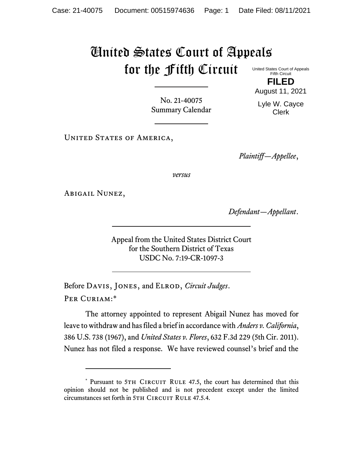## United States Court of Appeals for the Fifth Circuit

United States Court of Appeals Fifth Circuit **FILED**

No. 21-40075 Summary Calendar August 11, 2021 Lyle W. Cayce Clerk

UNITED STATES OF AMERICA,

*Plaintiff—Appellee*,

*versus*

Abigail Nunez,

*Defendant—Appellant*.

Appeal from the United States District Court for the Southern District of Texas USDC No. 7:19-CR-1097-3

Before Davis, Jones, and Elrod, *Circuit Judges*. Per Curiam:\*

The attorney appointed to represent Abigail Nunez has moved for leave to withdraw and has filed a brief in accordance with *Anders v. California*, 386 U.S. 738 (1967), and *United States v. Flores*, 632 F.3d 229 (5th Cir. 2011). Nunez has not filed a response. We have reviewed counsel's brief and the

<sup>\*</sup> Pursuant to 5TH CIRCUIT RULE 47.5, the court has determined that this opinion should not be published and is not precedent except under the limited circumstances set forth in 5TH CIRCUIT RULE 47.5.4.